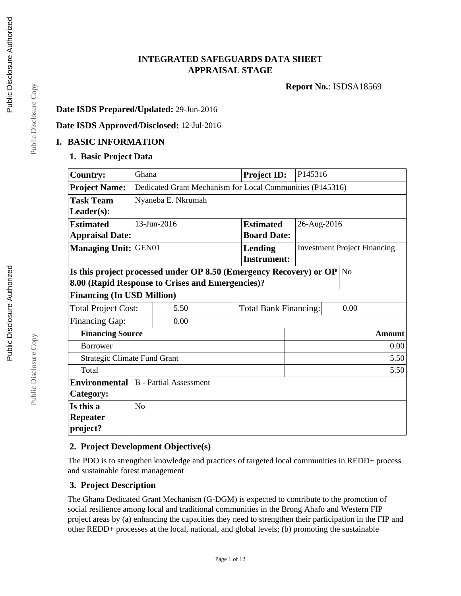### **INTEGRATED SAFEGUARDS DATA SHEET APPRAISAL STAGE**

**Report No.**: ISDSA18569

### **Date ISDS Prepared/Updated:** 29-Jun-2016

### **Date ISDS Approved/Disclosed:** 12-Jul-2016

### **I. BASIC INFORMATION**

### **1. Basic Project Data**

| <b>Country:</b>                                                    | Ghana                                        |                                                           |                  | <b>Project ID:</b> | P145316 |                                     |
|--------------------------------------------------------------------|----------------------------------------------|-----------------------------------------------------------|------------------|--------------------|---------|-------------------------------------|
| <b>Project Name:</b>                                               |                                              | Dedicated Grant Mechanism for Local Communities (P145316) |                  |                    |         |                                     |
| <b>Task Team</b>                                                   | Nyaneba E. Nkrumah                           |                                                           |                  |                    |         |                                     |
| $Leader(s)$ :                                                      |                                              |                                                           |                  |                    |         |                                     |
| <b>Estimated</b>                                                   | 13-Jun-2016                                  |                                                           | <b>Estimated</b> | 26-Aug-2016        |         |                                     |
| <b>Appraisal Date:</b>                                             |                                              |                                                           |                  | <b>Board Date:</b> |         |                                     |
| <b>Managing Unit: GEN01</b>                                        |                                              |                                                           |                  | Lending            |         | <b>Investment Project Financing</b> |
|                                                                    |                                              |                                                           |                  | <b>Instrument:</b> |         |                                     |
| Is this project processed under OP 8.50 (Emergency Recovery) or OP |                                              |                                                           |                  |                    |         | N <sub>o</sub>                      |
| 8.00 (Rapid Response to Crises and Emergencies)?                   |                                              |                                                           |                  |                    |         |                                     |
| <b>Financing (In USD Million)</b>                                  |                                              |                                                           |                  |                    |         |                                     |
| <b>Total Project Cost:</b>                                         | 5.50<br><b>Total Bank Financing:</b><br>0.00 |                                                           |                  |                    |         |                                     |
| Financing Gap:                                                     |                                              | 0.00                                                      |                  |                    |         |                                     |
| <b>Financing Source</b>                                            |                                              |                                                           | <b>Amount</b>    |                    |         |                                     |
| <b>Borrower</b>                                                    |                                              |                                                           |                  | 0.00               |         |                                     |
| <b>Strategic Climate Fund Grant</b>                                |                                              |                                                           | 5.50             |                    |         |                                     |
| Total<br>5.50                                                      |                                              |                                                           |                  |                    |         |                                     |
| <b>B</b> - Partial Assessment<br><b>Environmental</b>              |                                              |                                                           |                  |                    |         |                                     |
| Category:                                                          |                                              |                                                           |                  |                    |         |                                     |
| Is this a                                                          | No                                           |                                                           |                  |                    |         |                                     |
| <b>Repeater</b>                                                    |                                              |                                                           |                  |                    |         |                                     |
| project?                                                           |                                              |                                                           |                  |                    |         |                                     |

### **2. Project Development Objective(s)**

The PDO is to strengthen knowledge and practices of targeted local communities in REDD+ process and sustainable forest management

### **3. Project Description**

The Ghana Dedicated Grant Mechanism (G-DGM) is expected to contribute to the promotion of social resilience among local and traditional communities in the Brong Ahafo and Western FIP project areas by (a) enhancing the capacities they need to strengthen their participation in the FIP and other REDD+ processes at the local, national, and global levels; (b) promoting the sustainable

Public Disclosure Copy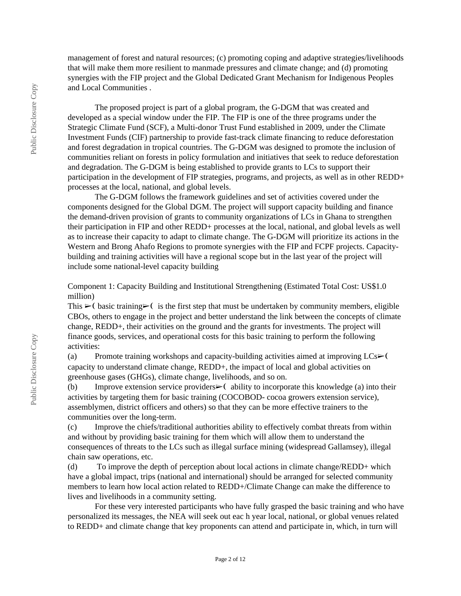management of forest and natural resources; (c) promoting coping and adaptive strategies/livelihoods that will make them more resilient to manmade pressures and climate change; and (d) promoting synergies with the FIP project and the Global Dedicated Grant Mechanism for Indigenous Peoples and Local Communities .

The proposed project is part of a global program, the G-DGM that was created and developed as a special window under the FIP. The FIP is one of the three programs under the Strategic Climate Fund (SCF), a Multi-donor Trust Fund established in 2009, under the Climate Investment Funds (CIF) partnership to provide fast-track climate financing to reduce deforestation and forest degradation in tropical countries. The G-DGM was designed to promote the inclusion of communities reliant on forests in policy formulation and initiatives that seek to reduce deforestation and degradation. The G-DGM is being established to provide grants to LCs to support their participation in the development of FIP strategies, programs, and projects, as well as in other REDD+ processes at the local, national, and global levels.

The G-DGM follows the framework guidelines and set of activities covered under the components designed for the Global DGM. The project will support capacity building and finance the demand-driven provision of grants to community organizations of LCs in Ghana to strengthen their participation in FIP and other REDD+ processes at the local, national, and global levels as well as to increase their capacity to adapt to climate change. The G-DGM will prioritize its actions in the Western and Brong Ahafo Regions to promote synergies with the FIP and FCPF projects. Capacitybuilding and training activities will have a regional scope but in the last year of the project will include some national-level capacity building

Component 1: Capacity Building and Institutional Strengthening (Estimated Total Cost: US\$1.0 million)

This  $\triangleright$  (basic training $\triangleright$  is the first step that must be undertaken by community members, eligible CBOs, others to engage in the project and better understand the link between the concepts of climate change, REDD+, their activities on the ground and the grants for investments. The project will finance goods, services, and operational costs for this basic training to perform the following activities:

(a) Promote training workshops and capacity-building activities aimed at improving  $LCs \rightarrow$ capacity to understand climate change, REDD+, the impact of local and global activities on greenhouse gases (GHGs), climate change, livelihoods, and so on.

(b) Improve extension service providers $\triangleright$  (ability to incorporate this knowledge (a) into their activities by targeting them for basic training (COCOBOD- cocoa growers extension service), assemblymen, district officers and others) so that they can be more effective trainers to the communities over the long-term.

(c) Improve the chiefs/traditional authorities ability to effectively combat threats from within and without by providing basic training for them which will allow them to understand the consequences of threats to the LCs such as illegal surface mining (widespread Gallamsey), illegal chain saw operations, etc.

(d) To improve the depth of perception about local actions in climate change/REDD+ which have a global impact, trips (national and international) should be arranged for selected community members to learn how local action related to REDD+/Climate Change can make the difference to lives and livelihoods in a community setting.

For these very interested participants who have fully grasped the basic training and who have personalized its messages, the NEA will seek out eac h year local, national, or global venues related to REDD+ and climate change that key proponents can attend and participate in, which, in turn will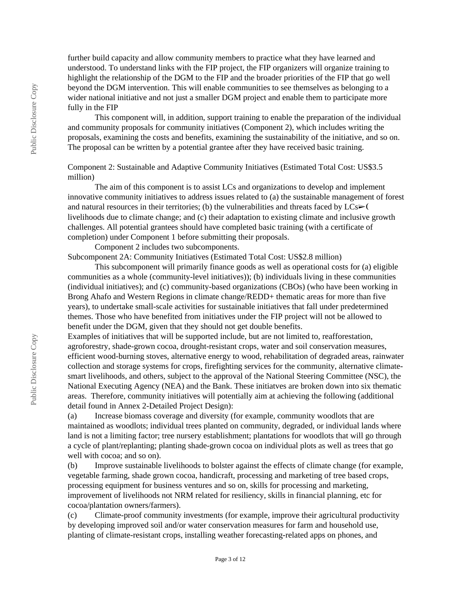further build capacity and allow community members to practice what they have learned and understood. To understand links with the FIP project, the FIP organizers will organize training to highlight the relationship of the DGM to the FIP and the broader priorities of the FIP that go well beyond the DGM intervention. This will enable communities to see themselves as belonging to a wider national initiative and not just a smaller DGM project and enable them to participate more fully in the FIP

This component will, in addition, support training to enable the preparation of the individual and community proposals for community initiatives (Component 2), which includes writing the proposals, examining the costs and benefits, examining the sustainability of the initiative, and so on. The proposal can be written by a potential grantee after they have received basic training.

### Component 2: Sustainable and Adaptive Community Initiatives (Estimated Total Cost: US\$3.5 million)

The aim of this component is to assist LCs and organizations to develop and implement innovative community initiatives to address issues related to (a) the sustainable management of forest and natural resources in their territories; (b) the vulnerabilities and threats faced by  $LCs \rightarrow$  ( livelihoods due to climate change; and (c) their adaptation to existing climate and inclusive growth challenges. All potential grantees should have completed basic training (with a certificate of completion) under Component 1 before submitting their proposals.

Component 2 includes two subcomponents.

Subcomponent 2A: Community Initiatives (Estimated Total Cost: US\$2.8 million)

This subcomponent will primarily finance goods as well as operational costs for (a) eligible communities as a whole (community-level initiatives)); (b) individuals living in these communities (individual initiatives); and (c) community-based organizations (CBOs) (who have been working in Brong Ahafo and Western Regions in climate change/REDD+ thematic areas for more than five years), to undertake small-scale activities for sustainable initiatives that fall under predetermined themes. Those who have benefited from initiatives under the FIP project will not be allowed to benefit under the DGM, given that they should not get double benefits.

Examples of initiatives that will be supported include, but are not limited to, reafforestation, agroforestry, shade-grown cocoa, drought-resistant crops, water and soil conservation measures, efficient wood-burning stoves, alternative energy to wood, rehabilitation of degraded areas, rainwater collection and storage systems for crops, firefighting services for the community, alternative climatesmart livelihoods, and others, subject to the approval of the National Steering Committee (NSC), the National Executing Agency (NEA) and the Bank. These initiatves are broken down into six thematic areas. Therefore, community initiatives will potentially aim at achieving the following (additional detail found in Annex 2-Detailed Project Design):

(a) Increase biomass coverage and diversity (for example, community woodlots that are maintained as woodlots; individual trees planted on community, degraded, or individual lands where land is not a limiting factor; tree nursery establishment; plantations for woodlots that will go through a cycle of plant/replanting; planting shade-grown cocoa on individual plots as well as trees that go well with cocoa; and so on).

(b) Improve sustainable livelihoods to bolster against the effects of climate change (for example, vegetable farming, shade grown cocoa, handicraft, processing and marketing of tree based crops, processing equipment for business ventures and so on, skills for processing and marketing, improvement of livelihoods not NRM related for resiliency, skills in financial planning, etc for cocoa/plantation owners/farmers).

(c) Climate-proof community investments (for example, improve their agricultural productivity by developing improved soil and/or water conservation measures for farm and household use, planting of climate-resistant crops, installing weather forecasting-related apps on phones, and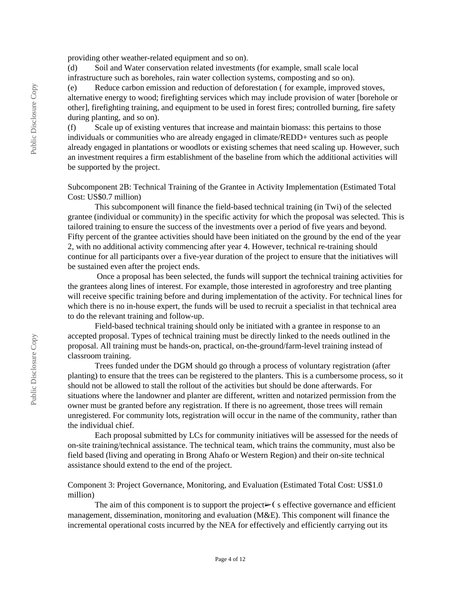providing other weather-related equipment and so on).

(d) Soil and Water conservation related investments (for example, small scale local infrastructure such as boreholes, rain water collection systems, composting and so on).

(e) Reduce carbon emission and reduction of deforestation ( for example, improved stoves, alternative energy to wood; firefighting services which may include provision of water [borehole or other], firefighting training, and equipment to be used in forest fires; controlled burning, fire safety during planting, and so on).

(f) Scale up of existing ventures that increase and maintain biomass: this pertains to those individuals or communities who are already engaged in climate/REDD+ ventures such as people already engaged in plantations or woodlots or existing schemes that need scaling up. However, such an investment requires a firm establishment of the baseline from which the additional activities will be supported by the project.

Subcomponent 2B: Technical Training of the Grantee in Activity Implementation (Estimated Total Cost: US\$0.7 million)

This subcomponent will finance the field-based technical training (in Twi) of the selected grantee (individual or community) in the specific activity for which the proposal was selected. This is tailored training to ensure the success of the investments over a period of five years and beyond. Fifty percent of the grantee activities should have been initiated on the ground by the end of the year 2, with no additional activity commencing after year 4. However, technical re-training should continue for all participants over a five-year duration of the project to ensure that the initiatives will be sustained even after the project ends.

 Once a proposal has been selected, the funds will support the technical training activities for the grantees along lines of interest. For example, those interested in agroforestry and tree planting will receive specific training before and during implementation of the activity. For technical lines for which there is no in-house expert, the funds will be used to recruit a specialist in that technical area to do the relevant training and follow-up.

Field-based technical training should only be initiated with a grantee in response to an accepted proposal. Types of technical training must be directly linked to the needs outlined in the proposal. All training must be hands-on, practical, on-the-ground/farm-level training instead of classroom training.

Trees funded under the DGM should go through a process of voluntary registration (after planting) to ensure that the trees can be registered to the planters. This is a cumbersome process, so it should not be allowed to stall the rollout of the activities but should be done afterwards. For situations where the landowner and planter are different, written and notarized permission from the owner must be granted before any registration. If there is no agreement, those trees will remain unregistered. For community lots, registration will occur in the name of the community, rather than the individual chief.

Each proposal submitted by LCs for community initiatives will be assessed for the needs of on-site training/technical assistance. The technical team, which trains the community, must also be field based (living and operating in Brong Ahafo or Western Region) and their on-site technical assistance should extend to the end of the project.

Component 3: Project Governance, Monitoring, and Evaluation (Estimated Total Cost: US\$1.0 million)

The aim of this component is to support the project $\triangleright$  (seffective governance and efficient management, dissemination, monitoring and evaluation (M&E). This component will finance the incremental operational costs incurred by the NEA for effectively and efficiently carrying out its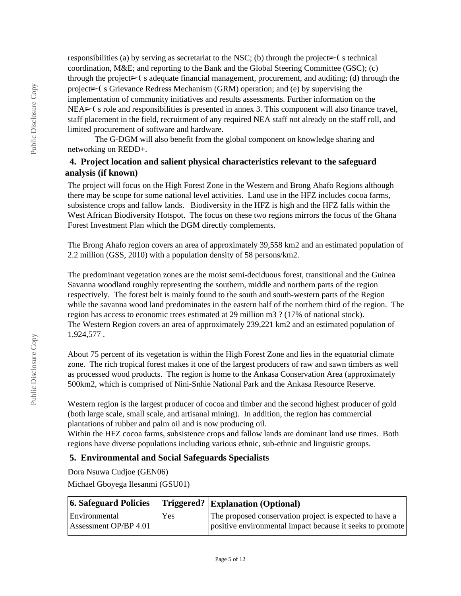responsibilities (a) by serving as secretariat to the NSC; (b) through the project $\triangleright$  (s technical coordination, M&E; and reporting to the Bank and the Global Steering Committee (GSC); (c) through the project $\triangleright$  (s adequate financial management, procurement, and auditing; (d) through the project➢❨ s Grievance Redress Mechanism (GRM) operation; and (e) by supervising the implementation of community initiatives and results assessments. Further information on the NEA  $\triangleright$  (s role and responsibilities is presented in annex 3. This component will also finance travel, staff placement in the field, recruitment of any required NEA staff not already on the staff roll, and limited procurement of software and hardware.

The G-DGM will also benefit from the global component on knowledge sharing and networking on REDD+.

### **4. Project location and salient physical characteristics relevant to the safeguard analysis (if known)**

The project will focus on the High Forest Zone in the Western and Brong Ahafo Regions although there may be scope for some national level activities. Land use in the HFZ includes cocoa farms, subsistence crops and fallow lands. Biodiversity in the HFZ is high and the HFZ falls within the West African Biodiversity Hotspot. The focus on these two regions mirrors the focus of the Ghana Forest Investment Plan which the DGM directly complements.

The Brong Ahafo region covers an area of approximately 39,558 km2 and an estimated population of 2.2 million (GSS, 2010) with a population density of 58 persons/km2.

The predominant vegetation zones are the moist semi-deciduous forest, transitional and the Guinea Savanna woodland roughly representing the southern, middle and northern parts of the region respectively. The forest belt is mainly found to the south and south-western parts of the Region while the savanna wood land predominates in the eastern half of the northern third of the region. The region has access to economic trees estimated at 29 million m3 ? (17% of national stock). The Western Region covers an area of approximately 239,221 km2 and an estimated population of 1,924,577 .

About 75 percent of its vegetation is within the High Forest Zone and lies in the equatorial climate zone. The rich tropical forest makes it one of the largest producers of raw and sawn timbers as well as processed wood products. The region is home to the Ankasa Conservation Area (approximately 500km2, which is comprised of Nini-Snhie National Park and the Ankasa Resource Reserve.

Western region is the largest producer of cocoa and timber and the second highest producer of gold (both large scale, small scale, and artisanal mining). In addition, the region has commercial plantations of rubber and palm oil and is now producing oil.

Within the HFZ cocoa farms, subsistence crops and fallow lands are dominant land use times. Both regions have diverse populations including various ethnic, sub-ethnic and linguistic groups.

### **5. Environmental and Social Safeguards Specialists**

Dora Nsuwa Cudjoe (GEN06)

Michael Gboyega Ilesanmi (GSU01)

| 6. Safeguard Policies |     | $ T$ riggered? $ Explanation (Optional)$                  |
|-----------------------|-----|-----------------------------------------------------------|
| Environmental         | Yes | The proposed conservation project is expected to have a   |
| Assessment OP/BP 4.01 |     | positive environmental impact because it seeks to promote |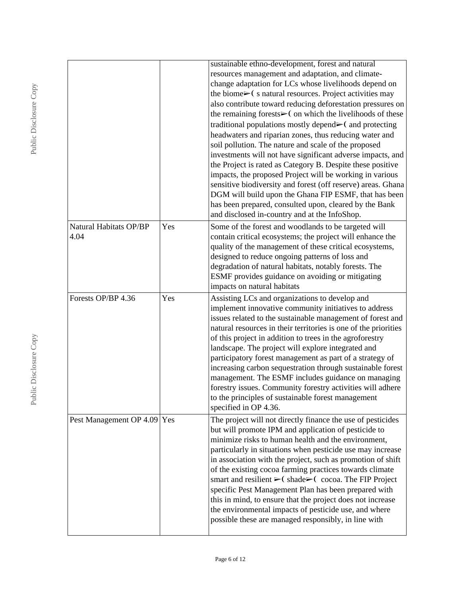|                             |     | sustainable ethno-development, forest and natural                                                          |
|-----------------------------|-----|------------------------------------------------------------------------------------------------------------|
|                             |     | resources management and adaptation, and climate-<br>change adaptation for LCs whose livelihoods depend on |
|                             |     | the biome $\triangleright$ (s natural resources. Project activities may                                    |
|                             |     | also contribute toward reducing deforestation pressures on                                                 |
|                             |     | the remaining forests $\triangleright$ ( on which the livelihoods of these                                 |
|                             |     | traditional populations mostly depend $\blacktriangleright$ ( and protecting                               |
|                             |     | headwaters and riparian zones, thus reducing water and                                                     |
|                             |     | soil pollution. The nature and scale of the proposed                                                       |
|                             |     | investments will not have significant adverse impacts, and                                                 |
|                             |     | the Project is rated as Category B. Despite these positive                                                 |
|                             |     | impacts, the proposed Project will be working in various                                                   |
|                             |     | sensitive biodiversity and forest (off reserve) areas. Ghana                                               |
|                             |     | DGM will build upon the Ghana FIP ESMF, that has been                                                      |
|                             |     | has been prepared, consulted upon, cleared by the Bank                                                     |
|                             |     | and disclosed in-country and at the InfoShop.                                                              |
| Natural Habitats OP/BP      | Yes | Some of the forest and woodlands to be targeted will                                                       |
| 4.04                        |     | contain critical ecosystems; the project will enhance the                                                  |
|                             |     | quality of the management of these critical ecosystems,                                                    |
|                             |     | designed to reduce ongoing patterns of loss and                                                            |
|                             |     | degradation of natural habitats, notably forests. The                                                      |
|                             |     | ESMF provides guidance on avoiding or mitigating                                                           |
|                             |     | impacts on natural habitats                                                                                |
| Forests OP/BP 4.36          | Yes | Assisting LCs and organizations to develop and                                                             |
|                             |     | implement innovative community initiatives to address                                                      |
|                             |     | issues related to the sustainable management of forest and                                                 |
|                             |     | natural resources in their territories is one of the priorities                                            |
|                             |     | of this project in addition to trees in the agroforestry                                                   |
|                             |     | landscape. The project will explore integrated and                                                         |
|                             |     | participatory forest management as part of a strategy of                                                   |
|                             |     | increasing carbon sequestration through sustainable forest                                                 |
|                             |     | management. The ESMF includes guidance on managing                                                         |
|                             |     | forestry issues. Community forestry activities will adhere                                                 |
|                             |     | to the principles of sustainable forest management                                                         |
|                             |     |                                                                                                            |
|                             |     | specified in OP 4.36.                                                                                      |
| Pest Management OP 4.09 Yes |     | The project will not directly finance the use of pesticides                                                |
|                             |     | but will promote IPM and application of pesticide to                                                       |
|                             |     | minimize risks to human health and the environment,                                                        |
|                             |     | particularly in situations when pesticide use may increase                                                 |
|                             |     | in association with the project, such as promotion of shift                                                |
|                             |     | of the existing cocoa farming practices towards climate                                                    |
|                             |     | smart and resilient $\triangleright$ (shade $\triangleright$ (cocoa. The FIP Project                       |
|                             |     | specific Pest Management Plan has been prepared with                                                       |
|                             |     | this in mind, to ensure that the project does not increase                                                 |
|                             |     | the environmental impacts of pesticide use, and where                                                      |
|                             |     | possible these are managed responsibly, in line with                                                       |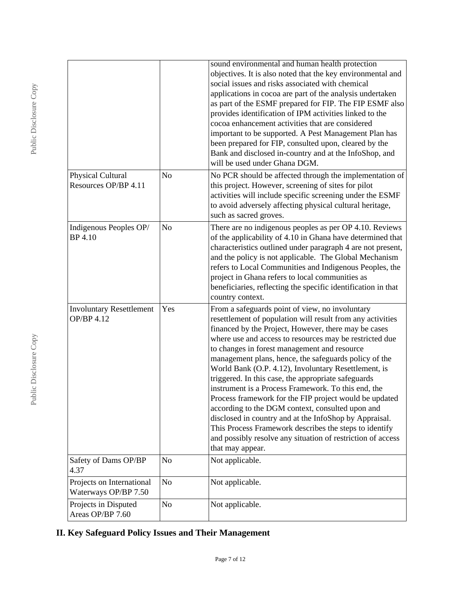|                                                   |                | sound environmental and human health protection<br>objectives. It is also noted that the key environmental and<br>social issues and risks associated with chemical<br>applications in cocoa are part of the analysis undertaken<br>as part of the ESMF prepared for FIP. The FIP ESMF also<br>provides identification of IPM activities linked to the<br>cocoa enhancement activities that are considered<br>important to be supported. A Pest Management Plan has<br>been prepared for FIP, consulted upon, cleared by the<br>Bank and disclosed in-country and at the InfoShop, and<br>will be used under Ghana DGM.                                                                                                                                                                                                               |
|---------------------------------------------------|----------------|--------------------------------------------------------------------------------------------------------------------------------------------------------------------------------------------------------------------------------------------------------------------------------------------------------------------------------------------------------------------------------------------------------------------------------------------------------------------------------------------------------------------------------------------------------------------------------------------------------------------------------------------------------------------------------------------------------------------------------------------------------------------------------------------------------------------------------------|
| Physical Cultural<br>Resources OP/BP 4.11         | N <sub>o</sub> | No PCR should be affected through the implementation of<br>this project. However, screening of sites for pilot<br>activities will include specific screening under the ESMF<br>to avoid adversely affecting physical cultural heritage,<br>such as sacred groves.                                                                                                                                                                                                                                                                                                                                                                                                                                                                                                                                                                    |
| Indigenous Peoples OP/<br><b>BP</b> 4.10          | N <sub>o</sub> | There are no indigenous peoples as per OP 4.10. Reviews<br>of the applicability of 4.10 in Ghana have determined that<br>characteristics outlined under paragraph 4 are not present,<br>and the policy is not applicable. The Global Mechanism<br>refers to Local Communities and Indigenous Peoples, the<br>project in Ghana refers to local communities as<br>beneficiaries, reflecting the specific identification in that<br>country context.                                                                                                                                                                                                                                                                                                                                                                                    |
| <b>Involuntary Resettlement</b><br>OP/BP 4.12     | Yes            | From a safeguards point of view, no involuntary<br>resettlement of population will result from any activities<br>financed by the Project, However, there may be cases<br>where use and access to resources may be restricted due<br>to changes in forest management and resource<br>management plans, hence, the safeguards policy of the<br>World Bank (O.P. 4.12), Involuntary Resettlement, is<br>triggered. In this case, the appropriate safeguards<br>instrument is a Process Framework. To this end, the<br>Process framework for the FIP project would be updated<br>according to the DGM context, consulted upon and<br>disclosed in country and at the InfoShop by Appraisal.<br>This Process Framework describes the steps to identify<br>and possibly resolve any situation of restriction of access<br>that may appear. |
| Safety of Dams OP/BP<br>4.37                      | N <sub>o</sub> | Not applicable.                                                                                                                                                                                                                                                                                                                                                                                                                                                                                                                                                                                                                                                                                                                                                                                                                      |
| Projects on International<br>Waterways OP/BP 7.50 | No             | Not applicable.                                                                                                                                                                                                                                                                                                                                                                                                                                                                                                                                                                                                                                                                                                                                                                                                                      |
| Projects in Disputed<br>Areas OP/BP 7.60          | N <sub>o</sub> | Not applicable.                                                                                                                                                                                                                                                                                                                                                                                                                                                                                                                                                                                                                                                                                                                                                                                                                      |

# **II. Key Safeguard Policy Issues and Their Management**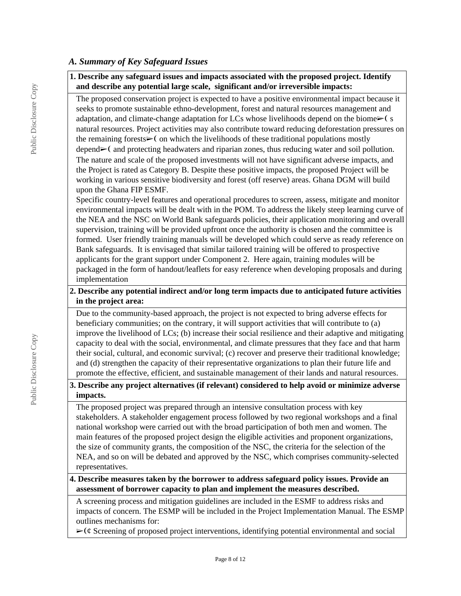### *A. Summary of Key Safeguard Issues*

### **1. Describe any safeguard issues and impacts associated with the proposed project. Identify and describe any potential large scale, significant and/or irreversible impacts:**

The proposed conservation project is expected to have a positive environmental impact because it seeks to promote sustainable ethno-development, forest and natural resources management and adaptation, and climate-change adaptation for LCs whose livelihoods depend on the biome $\geq$  (s natural resources. Project activities may also contribute toward reducing deforestation pressures on the remaining forests $\triangleright$  ( on which the livelihoods of these traditional populations mostly depend►(and protecting headwaters and riparian zones, thus reducing water and soil pollution. The nature and scale of the proposed investments will not have significant adverse impacts, and the Project is rated as Category B. Despite these positive impacts, the proposed Project will be working in various sensitive biodiversity and forest (off reserve) areas. Ghana DGM will build upon the Ghana FIP ESMF.

Specific country-level features and operational procedures to screen, assess, mitigate and monitor environmental impacts will be dealt with in the POM. To address the likely steep learning curve of the NEA and the NSC on World Bank safeguards policies, their application monitoring and overall supervision, training will be provided upfront once the authority is chosen and the committee is formed. User friendly training manuals will be developed which could serve as ready reference on Bank safeguards. It is envisaged that similar tailored training will be offered to prospective applicants for the grant support under Component 2. Here again, training modules will be packaged in the form of handout/leaflets for easy reference when developing proposals and during implementation

### **2. Describe any potential indirect and/or long term impacts due to anticipated future activities in the project area:**

Due to the community-based approach, the project is not expected to bring adverse effects for beneficiary communities; on the contrary, it will support activities that will contribute to (a) improve the livelihood of LCs; (b) increase their social resilience and their adaptive and mitigating capacity to deal with the social, environmental, and climate pressures that they face and that harm their social, cultural, and economic survival; (c) recover and preserve their traditional knowledge; and (d) strengthen the capacity of their representative organizations to plan their future life and promote the effective, efficient, and sustainable management of their lands and natural resources.

### **3. Describe any project alternatives (if relevant) considered to help avoid or minimize adverse impacts.**

The proposed project was prepared through an intensive consultation process with key stakeholders. A stakeholder engagement process followed by two regional workshops and a final national workshop were carried out with the broad participation of both men and women. The main features of the proposed project design the eligible activities and proponent organizations, the size of community grants, the composition of the NSC, the criteria for the selection of the NEA, and so on will be debated and approved by the NSC, which comprises community-selected representatives.

### **4. Describe measures taken by the borrower to address safeguard policy issues. Provide an assessment of borrower capacity to plan and implement the measures described.**

A screening process and mitigation guidelines are included in the ESMF to address risks and impacts of concern. The ESMP will be included in the Project Implementation Manual. The ESMP outlines mechanisms for:

 $\triangleright$  ( $\phi$  Screening of proposed project interventions, identifying potential environmental and social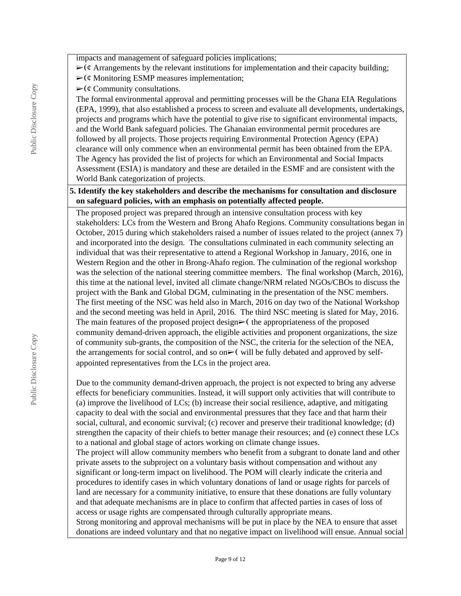impacts and management of safeguard policies implications;

- $\triangleright$  ( $\ell$  Arrangements by the relevant institutions for implementation and their capacity building;
- $\triangleright$  ( $\phi$  Monitoring ESMP measures implementation;
- $\triangleright$  ( $\phi$  Community consultations.

The formal environmental approval and permitting processes will be the Ghana EIA Regulations (EPA, 1999), that also established a process to screen and evaluate all developments, undertakings, projects and programs which have the potential to give rise to significant environmental impacts, and the World Bank safeguard policies. The Ghanaian environmental permit procedures are followed by all projects. Those projects requiring Environmental Protection Agency (EPA) clearance will only commence when an environmental permit has been obtained from the EPA. The Agency has provided the list of projects for which an Environmental and Social Impacts Assessment (ESIA) is mandatory and these are detailed in the ESMF and are consistent with the World Bank categorization of projects.

### **5. Identify the key stakeholders and describe the mechanisms for consultation and disclosure on safeguard policies, with an emphasis on potentially affected people.**

The proposed project was prepared through an intensive consultation process with key stakeholders: LCs from the Western and Brong Ahafo Regions. Community consultations began in October, 2015 during which stakeholders raised a number of issues related to the project (annex 7) and incorporated into the design. The consultations culminated in each community selecting an individual that was their representative to attend a Regional Workshop in January, 2016, one in Western Region and the other in Brong-Ahafo region. The culmination of the regional workshop was the selection of the national steering committee members. The final workshop (March, 2016), this time at the national level, invited all climate change/NRM related NGOs/CBOs to discuss the project with the Bank and Global DGM, culminating in the presentation of the NSC members. The first meeting of the NSC was held also in March, 2016 on day two of the National Workshop and the second meeting was held in April, 2016. The third NSC meeting is slated for May, 2016. The main features of the proposed project design $\triangleright$  (the appropriateness of the proposed community demand-driven approach, the eligible activities and proponent organizations, the size of community sub-grants, the composition of the NSC, the criteria for the selection of the NEA, the arrangements for social control, and so on $\triangleright$  (will be fully debated and approved by selfappointed representatives from the LCs in the project area.

Due to the community demand-driven approach, the project is not expected to bring any adverse effects for beneficiary communities. Instead, it will support only activities that will contribute to (a) improve the livelihood of LCs; (b) increase their social resilience, adaptive, and mitigating capacity to deal with the social and environmental pressures that they face and that harm their social, cultural, and economic survival; (c) recover and preserve their traditional knowledge; (d) strengthen the capacity of their chiefs to better manage their resources; and (e) connect these LCs to a national and global stage of actors working on climate change issues.

The project will allow community members who benefit from a subgrant to donate land and other private assets to the subproject on a voluntary basis without compensation and without any significant or long-term impact on livelihood. The POM will clearly indicate the criteria and procedures to identify cases in which voluntary donations of land or usage rights for parcels of land are necessary for a community initiative, to ensure that these donations are fully voluntary and that adequate mechanisms are in place to confirm that affected parties in cases of loss of access or usage rights are compensated through culturally appropriate means.

Strong monitoring and approval mechanisms will be put in place by the NEA to ensure that asset donations are indeed voluntary and that no negative impact on livelihood will ensue. Annual social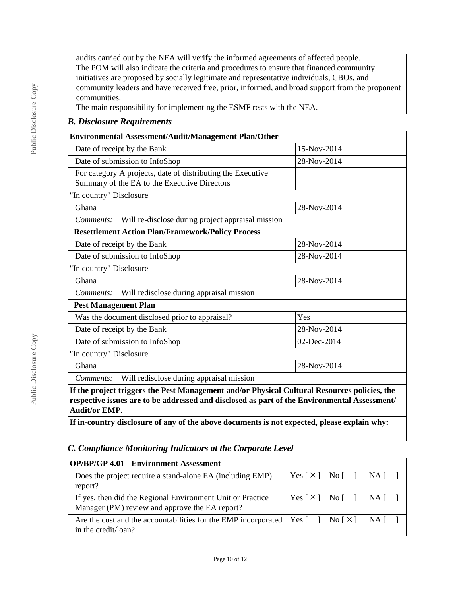audits carried out by the NEA will verify the informed agreements of affected people. The POM will also indicate the criteria and procedures to ensure that financed community initiatives are proposed by socially legitimate and representative individuals, CBOs, and community leaders and have received free, prior, informed, and broad support from the proponent communities.

The main responsibility for implementing the ESMF rests with the NEA.

### *B. Disclosure Requirements*

| Environmental Assessment/Audit/Management Plan/Other                                                                                                                                         |             |  |  |  |
|----------------------------------------------------------------------------------------------------------------------------------------------------------------------------------------------|-------------|--|--|--|
| Date of receipt by the Bank                                                                                                                                                                  | 15-Nov-2014 |  |  |  |
| Date of submission to InfoShop                                                                                                                                                               | 28-Nov-2014 |  |  |  |
| For category A projects, date of distributing the Executive<br>Summary of the EA to the Executive Directors                                                                                  |             |  |  |  |
| "In country" Disclosure                                                                                                                                                                      |             |  |  |  |
| Ghana                                                                                                                                                                                        | 28-Nov-2014 |  |  |  |
| Will re-disclose during project appraisal mission<br>Comments:                                                                                                                               |             |  |  |  |
| <b>Resettlement Action Plan/Framework/Policy Process</b>                                                                                                                                     |             |  |  |  |
| Date of receipt by the Bank                                                                                                                                                                  | 28-Nov-2014 |  |  |  |
| Date of submission to InfoShop                                                                                                                                                               | 28-Nov-2014 |  |  |  |
| "In country" Disclosure                                                                                                                                                                      |             |  |  |  |
| 28-Nov-2014<br>Ghana                                                                                                                                                                         |             |  |  |  |
| Will redisclose during appraisal mission<br>Comments:                                                                                                                                        |             |  |  |  |
| <b>Pest Management Plan</b>                                                                                                                                                                  |             |  |  |  |
| Was the document disclosed prior to appraisal?                                                                                                                                               | Yes         |  |  |  |
| Date of receipt by the Bank                                                                                                                                                                  | 28-Nov-2014 |  |  |  |
| Date of submission to InfoShop                                                                                                                                                               | 02-Dec-2014 |  |  |  |
| "In country" Disclosure                                                                                                                                                                      |             |  |  |  |
| 28-Nov-2014<br>Ghana                                                                                                                                                                         |             |  |  |  |
| Will redisclose during appraisal mission<br>Comments:                                                                                                                                        |             |  |  |  |
| If the project triggers the Pest Management and/or Physical Cultural Resources policies, the<br>respective issues are to be addressed and disclosed as part of the Environmental Assessment/ |             |  |  |  |

**respective issues are to be addressed and disclosed as part of the Environmental Assessment/ Audit/or EMP.**

**If in-country disclosure of any of the above documents is not expected, please explain why:**

## *C. Compliance Monitoring Indicators at the Corporate Level*

| <b>OP/BP/GP 4.01 - Environment Assessment</b>                                                                                                                                                                          |                                                                                                                                         |  |  |
|------------------------------------------------------------------------------------------------------------------------------------------------------------------------------------------------------------------------|-----------------------------------------------------------------------------------------------------------------------------------------|--|--|
| Does the project require a stand-alone EA (including EMP)<br>report?                                                                                                                                                   | $\begin{bmatrix} \text{Yes} \end{bmatrix}$ No $\begin{bmatrix} \end{bmatrix}$ NA $\begin{bmatrix} \end{bmatrix}$                        |  |  |
| If yes, then did the Regional Environment Unit or Practice<br>Manager (PM) review and approve the EA report?                                                                                                           | $\begin{bmatrix} \text{Yes} \end{bmatrix} \times \begin{bmatrix} \text{No} \end{bmatrix} \quad \begin{bmatrix} \text{NA} \end{bmatrix}$ |  |  |
| Are the cost and the accountabilities for the EMP incorporated   Yes $\begin{bmatrix} 1 \\ 2 \end{bmatrix}$ No $\begin{bmatrix} \times \end{bmatrix}$ NA $\begin{bmatrix} 1 \\ 2 \end{bmatrix}$<br>in the credit/loan? |                                                                                                                                         |  |  |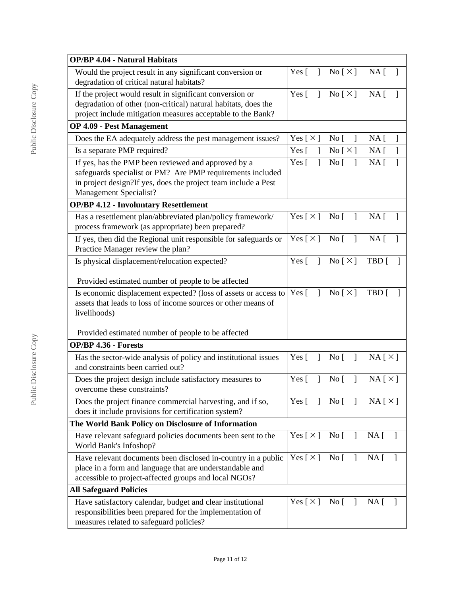| <b>OP/BP 4.04 - Natural Habitats</b>                                                                |                              |                                             |                                 |
|-----------------------------------------------------------------------------------------------------|------------------------------|---------------------------------------------|---------------------------------|
| Would the project result in any significant conversion or                                           | Yes $\lceil$<br>$\mathbf{1}$ | No [ $\times$ ]                             | NA [<br>$\mathbf{1}$            |
| degradation of critical natural habitats?                                                           |                              |                                             |                                 |
| If the project would result in significant conversion or                                            | Yes $\lceil$<br>$\mathbf{1}$ | $\text{No} [\times]$                        | NA <sub>1</sub>                 |
| degradation of other (non-critical) natural habitats, does the                                      |                              |                                             |                                 |
| project include mitigation measures acceptable to the Bank?                                         |                              |                                             |                                 |
| <b>OP 4.09 - Pest Management</b>                                                                    |                              |                                             |                                 |
| Does the EA adequately address the pest management issues?                                          | Yes [ $\times$ ]             | No <sub>[</sub> ]<br>$\mathbf{1}$           | $NA$ [<br>$\mathbf{1}$          |
| Is a separate PMP required?                                                                         | Yes [<br>1                   | No [ X ]                                    | $NA$ [<br>1                     |
| If yes, has the PMP been reviewed and approved by a                                                 | Yes $\lceil$<br>$\mathbf{I}$ | No <sub>1</sub><br>$\mathbf{1}$             | NA <sub>1</sub><br>1            |
| safeguards specialist or PM? Are PMP requirements included                                          |                              |                                             |                                 |
| in project design?If yes, does the project team include a Pest                                      |                              |                                             |                                 |
| Management Specialist?                                                                              |                              |                                             |                                 |
| <b>OP/BP 4.12 - Involuntary Resettlement</b>                                                        |                              |                                             |                                 |
| Has a resettlement plan/abbreviated plan/policy framework/                                          | Yes [ $\times$ ]             | $\overline{N}$ o<br>$\mathbf{1}$            | NA <sub>1</sub><br>$\mathbf{1}$ |
| process framework (as appropriate) been prepared?                                                   |                              |                                             |                                 |
| If yes, then did the Regional unit responsible for safeguards or                                    | Yes $[\times]$               | $\overline{N}$ o<br>$\overline{1}$          | NA <sub>1</sub>                 |
| Practice Manager review the plan?                                                                   |                              |                                             |                                 |
| Is physical displacement/relocation expected?                                                       | $\mathbf{1}$<br>Yes $\lceil$ | No $[\times]$                               | TBD [                           |
| Provided estimated number of people to be affected                                                  |                              |                                             |                                 |
| Is economic displacement expected? (loss of assets or access to                                     | $Yes \lceil$<br>$\mathbf{I}$ | $\text{No} \lceil \times \rceil$            | TBD [                           |
| assets that leads to loss of income sources or other means of                                       |                              |                                             |                                 |
| livelihoods)                                                                                        |                              |                                             |                                 |
|                                                                                                     |                              |                                             |                                 |
| Provided estimated number of people to be affected                                                  |                              |                                             |                                 |
| <b>OP/BP 4.36 - Forests</b>                                                                         |                              |                                             |                                 |
| Has the sector-wide analysis of policy and institutional issues                                     | Yes [<br>1                   | No [<br>$\mathbf{I}$                        | NA[X]                           |
| and constraints been carried out?                                                                   |                              |                                             |                                 |
| Does the project design include satisfactory measures to                                            | Yes $\lceil$<br>$\mathbf{1}$ | No <sub>[</sub> ]<br>$\mathbf{I}$           | $NA [ \times ]$                 |
| overcome these constraints?                                                                         |                              |                                             |                                 |
| Does the project finance commercial harvesting, and if so,                                          | Yes $\lceil$<br>$\mathbf{I}$ | No [                                        | $NA [ \times ]$                 |
| does it include provisions for certification system?                                                |                              |                                             |                                 |
| The World Bank Policy on Disclosure of Information                                                  |                              |                                             |                                 |
| Have relevant safeguard policies documents been sent to the                                         | Yes [ $\times$ ]             | $\text{No} \begin{bmatrix} 1 \end{bmatrix}$ | NA [                            |
| World Bank's Infoshop?                                                                              |                              |                                             |                                 |
| Have relevant documents been disclosed in-country in a public                                       | Yes [ $\times$ ]             | $\rm No~[$<br>$\mathbf{I}$                  | NA [                            |
| place in a form and language that are understandable and                                            |                              |                                             |                                 |
| accessible to project-affected groups and local NGOs?                                               |                              |                                             |                                 |
| <b>All Safeguard Policies</b>                                                                       |                              |                                             |                                 |
| Have satisfactory calendar, budget and clear institutional                                          | Yes [ $\times$ ]             | No [<br>$\mathbf{I}$                        | NA [                            |
| responsibilities been prepared for the implementation of<br>measures related to safeguard policies? |                              |                                             |                                 |
|                                                                                                     |                              |                                             |                                 |